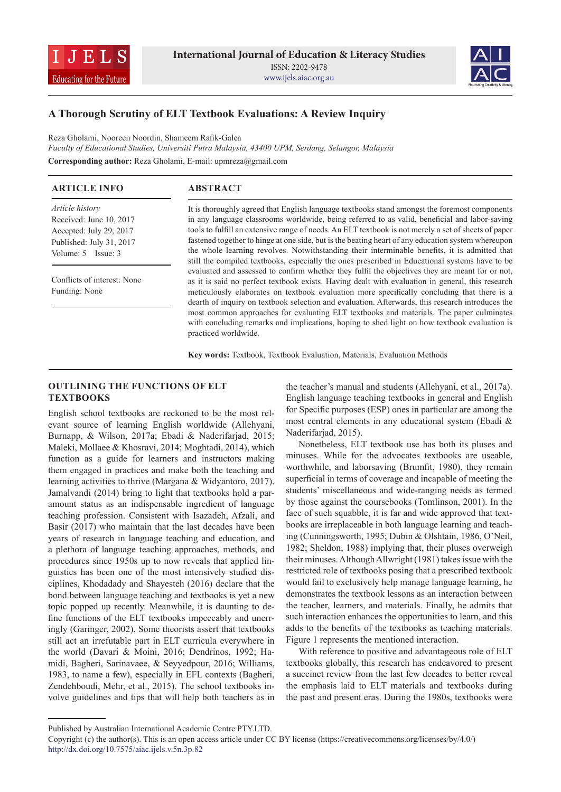



# **A Thorough Scrutiny of ELT Textbook Evaluations: A Review Inquiry**

Reza Gholami, Nooreen Noordin, Shameem Rafik-Galea *Faculty of Educational Studies, Universiti Putra Malaysia, 43400 UPM, Serdang, Selangor, Malaysia* **Corresponding author:** Reza Gholami, E-mail: upmreza@gmail.com

| <b>ARTICLE INFO</b>                                                                               | <b>ABSTRACT</b>                                                                                                                                                                                                                                                                                                                                                                                              |
|---------------------------------------------------------------------------------------------------|--------------------------------------------------------------------------------------------------------------------------------------------------------------------------------------------------------------------------------------------------------------------------------------------------------------------------------------------------------------------------------------------------------------|
| Article history<br>Received: June 10, 2017<br>Accepted: July 29, 2017<br>Published: July 31, 2017 | It is thoroughly agreed that English language textbooks stand amongst the foremost components<br>in any language classrooms worldwide, being referred to as valid, beneficial and labor-saving<br>tools to fulfill an extensive range of needs. An ELT textbook is not merely a set of sheets of paper<br>fastened together to hinge at one side, but is the beating heart of any education system whereupon |
| Volume: $5$ Issue: $3$                                                                            | the whole learning revolves. Notwithstanding their interminable benefits, it is admitted that<br>still the compiled textbooks, especially the ones prescribed in Educational systems have to be                                                                                                                                                                                                              |
| Conflicts of interest: None<br>Funding: None                                                      | evaluated and assessed to confirm whether they fulfil the objectives they are meant for or not,<br>as it is said no perfect textbook exists. Having dealt with evaluation in general, this research<br>meticulously elaborates on textbook evaluation more specifically concluding that there is a                                                                                                           |
|                                                                                                   | dearth of inquiry on textbook selection and evaluation. Afterwards, this research introduces the<br>most common approaches for evaluating ELT textbooks and materials. The paper culminates<br>with concluding remarks and implications, hoping to shed light on how textbook evaluation is<br>practiced worldwide.                                                                                          |

**Key words:** Textbook, Textbook Evaluation, Materials, Evaluation Methods

## **OUTLINING THE FUNCTIONS OF ELT TEXTBOOKS**

English school textbooks are reckoned to be the most relevant source of learning English worldwide (Allehyani, Burnapp, & Wilson, 2017a; Ebadi & Naderifarjad, 2015; Maleki, Mollaee & Khosravi, 2014; Moghtadi, 2014), which function as a guide for learners and instructors making them engaged in practices and make both the teaching and learning activities to thrive (Margana & Widyantoro, 2017). Jamalvandi (2014) bring to light that textbooks hold a paramount status as an indispensable ingredient of language teaching profession. Consistent with Isazadeh, Afzali, and Basir (2017) who maintain that the last decades have been years of research in language teaching and education, and a plethora of language teaching approaches, methods, and procedures since 1950s up to now reveals that applied linguistics has been one of the most intensively studied disciplines, Khodadady and Shayesteh (2016) declare that the bond between language teaching and textbooks is yet a new topic popped up recently. Meanwhile, it is daunting to define functions of the ELT textbooks impeccably and unerringly (Garinger, 2002). Some theorists assert that textbooks still act an irrefutable part in ELT curricula everywhere in the world (Davari & Moini, 2016; Dendrinos, 1992; Hamidi, Bagheri, Sarinavaee, & Seyyedpour, 2016; Williams, 1983, to name a few), especially in EFL contexts (Bagheri, Zendehboudi, Mehr, et al., 2015). The school textbooks involve guidelines and tips that will help both teachers as in

the teacher's manual and students (Allehyani, et al., 2017a). English language teaching textbooks in general and English for Specific purposes (ESP) ones in particular are among the most central elements in any educational system (Ebadi & Naderifarjad, 2015).

Nonetheless, ELT textbook use has both its pluses and minuses. While for the advocates textbooks are useable, worthwhile, and laborsaving (Brumfit, 1980), they remain superficial in terms of coverage and incapable of meeting the students' miscellaneous and wide-ranging needs as termed by those against the coursebooks (Tomlinson, 2001). In the face of such squabble, it is far and wide approved that textbooks are irreplaceable in both language learning and teaching (Cunningsworth, 1995; Dubin & Olshtain, 1986, O'Neil, 1982; Sheldon, 1988) implying that, their pluses overweigh their minuses. Although Allwright (1981) takes issue with the restricted role of textbooks posing that a prescribed textbook would fail to exclusively help manage language learning, he demonstrates the textbook lessons as an interaction between the teacher, learners, and materials. Finally, he admits that such interaction enhances the opportunities to learn, and this adds to the benefits of the textbooks as teaching materials. Figure 1 represents the mentioned interaction.

With reference to positive and advantageous role of ELT textbooks globally, this research has endeavored to present a succinct review from the last few decades to better reveal the emphasis laid to ELT materials and textbooks during the past and present eras. During the 1980s, textbooks were

Published by Australian International Academic Centre PTY.LTD.

Copyright (c) the author(s). This is an open access article under CC BY license (https://creativecommons.org/licenses/by/4.0/) http://dx.doi.org/10.7575/aiac.ijels.v.5n.3p.82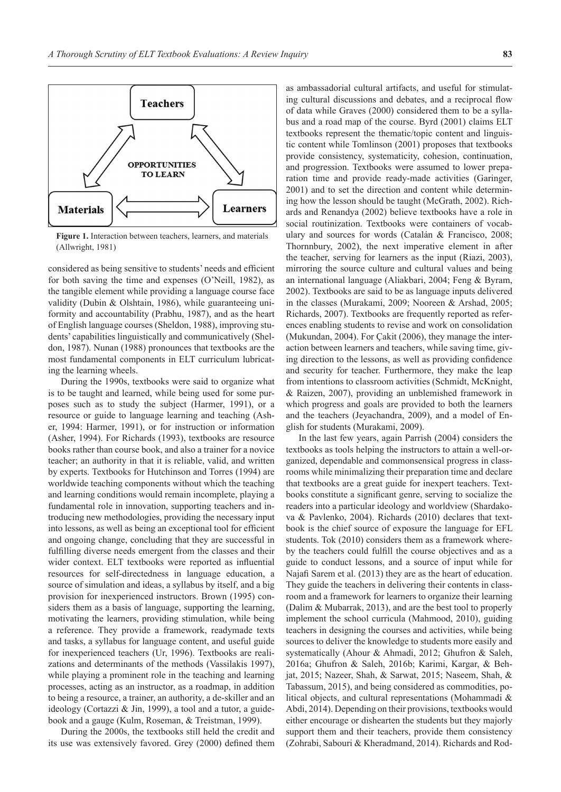

**Figure 1.** Interaction between teachers, learners, and materials (Allwright, 1981)

considered as being sensitive to students' needs and efficient for both saving the time and expenses (O'Neill, 1982), as the tangible element while providing a language course face validity (Dubin & Olshtain, 1986), while guaranteeing uniformity and accountability (Prabhu, 1987), and as the heart of English language courses (Sheldon, 1988), improving students' capabilities linguistically and communicatively (Sheldon, 1987). Nunan (1988) pronounces that textbooks are the most fundamental components in ELT curriculum lubricating the learning wheels.

During the 1990s, textbooks were said to organize what is to be taught and learned, while being used for some purposes such as to study the subject (Harmer, 1991), or a resource or guide to language learning and teaching (Asher, 1994: Harmer, 1991), or for instruction or information (Asher, 1994). For Richards (1993), textbooks are resource books rather than course book, and also a trainer for a novice teacher; an authority in that it is reliable, valid, and written by experts. Textbooks for Hutchinson and Torres (1994) are worldwide teaching components without which the teaching and learning conditions would remain incomplete, playing a fundamental role in innovation, supporting teachers and introducing new methodologies, providing the necessary input into lessons, as well as being an exceptional tool for efficient and ongoing change, concluding that they are successful in fulfilling diverse needs emergent from the classes and their wider context. ELT textbooks were reported as influential resources for self-directedness in language education, a source of simulation and ideas, a syllabus by itself, and a big provision for inexperienced instructors. Brown (1995) considers them as a basis of language, supporting the learning, motivating the learners, providing stimulation, while being a reference. They provide a framework, readymade texts and tasks, a syllabus for language content, and useful guide for inexperienced teachers (Ur, 1996). Textbooks are realizations and determinants of the methods (Vassilakis 1997), while playing a prominent role in the teaching and learning processes, acting as an instructor, as a roadmap, in addition to being a resource, a trainer, an authority, a de-skiller and an ideology (Cortazzi & Jin, 1999), a tool and a tutor, a guidebook and a gauge (Kulm, Roseman, & Treistman, 1999).

During the 2000s, the textbooks still held the credit and its use was extensively favored. Grey (2000) defined them as ambassadorial cultural artifacts, and useful for stimulating cultural discussions and debates, and a reciprocal flow of data while Graves (2000) considered them to be a syllabus and a road map of the course. Byrd (2001) claims ELT textbooks represent the thematic/topic content and linguistic content while Tomlinson (2001) proposes that textbooks provide consistency, systematicity, cohesion, continuation, and progression. Textbooks were assumed to lower preparation time and provide ready-made activities (Garinger, 2001) and to set the direction and content while determining how the lesson should be taught (McGrath, 2002). Richards and Renandya (2002) believe textbooks have a role in social routinization. Textbooks were containers of vocabulary and sources for words (Catalán & Francisco, 2008; Thornnbury, 2002), the next imperative element in after the teacher, serving for learners as the input (Riazi, 2003), mirroring the source culture and cultural values and being an international language (Aliakbari, 2004; Feng & Byram, 2002). Textbooks are said to be as language inputs delivered in the classes (Murakami, 2009; Nooreen & Arshad, 2005; Richards, 2007). Textbooks are frequently reported as references enabling students to revise and work on consolidation (Mukundan, 2004). For Çakit (2006), they manage the interaction between learners and teachers, while saving time, giving direction to the lessons, as well as providing confidence and security for teacher. Furthermore, they make the leap from intentions to classroom activities (Schmidt, McKnight, & Raizen, 2007), providing an unblemished framework in which progress and goals are provided to both the learners and the teachers (Jeyachandra, 2009), and a model of English for students (Murakami, 2009).

In the last few years, again Parrish (2004) considers the textbooks as tools helping the instructors to attain a well-organized, dependable and commonsensical progress in classrooms while minimalizing their preparation time and declare that textbooks are a great guide for inexpert teachers. Textbooks constitute a significant genre, serving to socialize the readers into a particular ideology and worldview (Shardakova & Pavlenko, 2004). Richards (2010) declares that textbook is the chief source of exposure the language for EFL students. Tok (2010) considers them as a framework whereby the teachers could fulfill the course objectives and as a guide to conduct lessons, and a source of input while for Najafi Sarem et al. (2013) they are as the heart of education. They guide the teachers in delivering their contents in classroom and a framework for learners to organize their learning (Dalim & Mubarrak, 2013), and are the best tool to properly implement the school curricula (Mahmood, 2010), guiding teachers in designing the courses and activities, while being sources to deliver the knowledge to students more easily and systematically (Ahour & Ahmadi, 2012; Ghufron & Saleh, 2016a; Ghufron & Saleh, 2016b; Karimi, Kargar, & Behjat, 2015; Nazeer, Shah, & Sarwat, 2015; Naseem, Shah, & Tabassum, 2015), and being considered as commodities, political objects, and cultural representations (Mohammadi & Abdi, 2014). Depending on their provisions, textbooks would either encourage or dishearten the students but they majorly support them and their teachers, provide them consistency (Zohrabi, Sabouri & Kheradmand, 2014). Richards and Rod-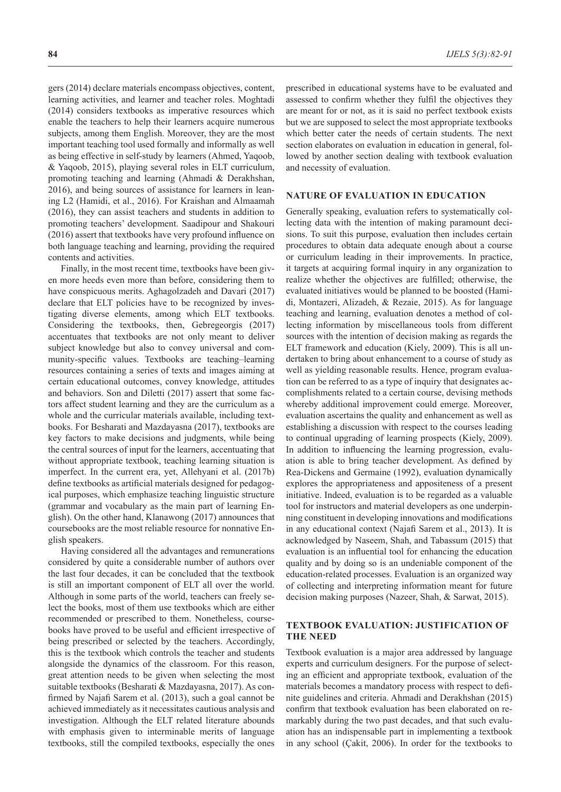gers (2014) declare materials encompass objectives, content, learning activities, and learner and teacher roles. Moghtadi (2014) considers textbooks as imperative resources which enable the teachers to help their learners acquire numerous subjects, among them English. Moreover, they are the most important teaching tool used formally and informally as well as being effective in self-study by learners (Ahmed, Yaqoob, & Yaqoob, 2015), playing several roles in ELT curriculum, promoting teaching and learning (Ahmadi & Derakhshan, 2016), and being sources of assistance for learners in leaning L2 (Hamidi, et al., 2016). For Kraishan and Almaamah (2016), they can assist teachers and students in addition to promoting teachers' development. Saadipour and Shakouri (2016) assert that textbooks have very profound influence on both language teaching and learning, providing the required contents and activities.

Finally, in the most recent time, textbooks have been given more heeds even more than before, considering them to have conspicuous merits. Aghagolzadeh and Davari (2017) declare that ELT policies have to be recognized by investigating diverse elements, among which ELT textbooks. Considering the textbooks, then, Gebregeorgis (2017) accentuates that textbooks are not only meant to deliver subject knowledge but also to convey universal and community-specific values. Textbooks are teaching–learning resources containing a series of texts and images aiming at certain educational outcomes, convey knowledge, attitudes and behaviors. Son and Diletti (2017) assert that some factors affect student learning and they are the curriculum as a whole and the curricular materials available, including textbooks. For Besharati and Mazdayasna (2017), textbooks are key factors to make decisions and judgments, while being the central sources of input for the learners, accentuating that without appropriate textbook, teaching learning situation is imperfect. In the current era, yet, Allehyani et al. (2017b) define textbooks as artificial materials designed for pedagogical purposes, which emphasize teaching linguistic structure (grammar and vocabulary as the main part of learning English). On the other hand, Klanawong (2017) announces that coursebooks are the most reliable resource for nonnative English speakers.

Having considered all the advantages and remunerations considered by quite a considerable number of authors over the last four decades, it can be concluded that the textbook is still an important component of ELT all over the world. Although in some parts of the world, teachers can freely select the books, most of them use textbooks which are either recommended or prescribed to them. Nonetheless, coursebooks have proved to be useful and efficient irrespective of being prescribed or selected by the teachers. Accordingly, this is the textbook which controls the teacher and students alongside the dynamics of the classroom. For this reason, great attention needs to be given when selecting the most suitable textbooks (Besharati & Mazdayasna, 2017). As confirmed by Najafi Sarem et al. (2013), such a goal cannot be achieved immediately as it necessitates cautious analysis and investigation. Although the ELT related literature abounds with emphasis given to interminable merits of language textbooks, still the compiled textbooks, especially the ones

prescribed in educational systems have to be evaluated and assessed to confirm whether they fulfil the objectives they are meant for or not, as it is said no perfect textbook exists but we are supposed to select the most appropriate textbooks which better cater the needs of certain students. The next section elaborates on evaluation in education in general, followed by another section dealing with textbook evaluation and necessity of evaluation.

#### **NATURE OF EVALUATION IN EDUCATION**

Generally speaking, evaluation refers to systematically collecting data with the intention of making paramount decisions. To suit this purpose, evaluation then includes certain procedures to obtain data adequate enough about a course or curriculum leading in their improvements. In practice, it targets at acquiring formal inquiry in any organization to realize whether the objectives are fulfilled; otherwise, the evaluated initiatives would be planned to be boosted (Hamidi, Montazeri, Alizadeh, & Rezaie, 2015). As for language teaching and learning, evaluation denotes a method of collecting information by miscellaneous tools from different sources with the intention of decision making as regards the ELT framework and education (Kiely, 2009). This is all undertaken to bring about enhancement to a course of study as well as yielding reasonable results. Hence, program evaluation can be referred to as a type of inquiry that designates accomplishments related to a certain course, devising methods whereby additional improvement could emerge. Moreover, evaluation ascertains the quality and enhancement as well as establishing a discussion with respect to the courses leading to continual upgrading of learning prospects (Kiely, 2009). In addition to influencing the learning progression, evaluation is able to bring teacher development. As defined by Rea-Dickens and Germaine (1992), evaluation dynamically explores the appropriateness and appositeness of a present initiative. Indeed, evaluation is to be regarded as a valuable tool for instructors and material developers as one underpinning constituent in developing innovations and modifications in any educational context (Najafi Sarem et al., 2013). It is acknowledged by Naseem, Shah, and Tabassum (2015) that evaluation is an influential tool for enhancing the education quality and by doing so is an undeniable component of the education-related processes. Evaluation is an organized way of collecting and interpreting information meant for future decision making purposes (Nazeer, Shah, & Sarwat, 2015).

### **TEXTBOOK EVALUATION: JUSTIFICATION OF THE NEED**

Textbook evaluation is a major area addressed by language experts and curriculum designers. For the purpose of selecting an efficient and appropriate textbook, evaluation of the materials becomes a mandatory process with respect to definite guidelines and criteria. Ahmadi and Derakhshan (2015) confirm that textbook evaluation has been elaborated on remarkably during the two past decades, and that such evaluation has an indispensable part in implementing a textbook in any school (Çakit, 2006). In order for the textbooks to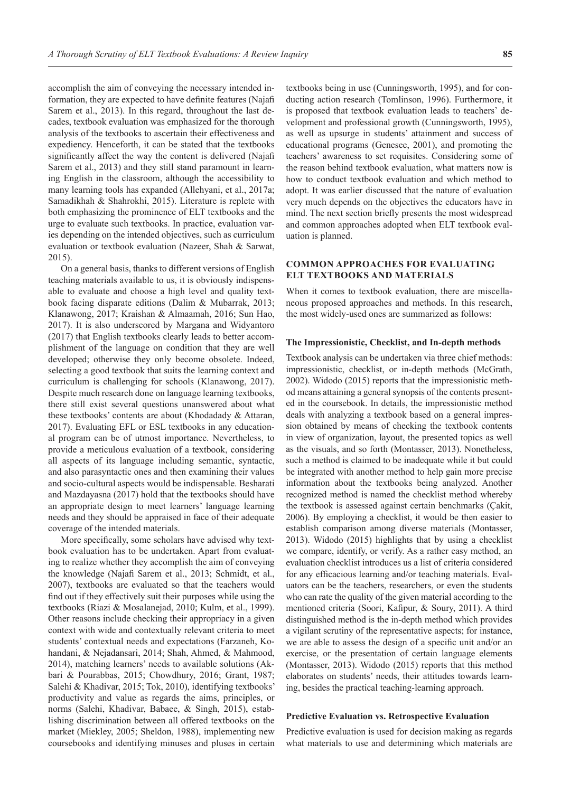accomplish the aim of conveying the necessary intended information, they are expected to have definite features (Najafi Sarem et al., 2013). In this regard, throughout the last decades, textbook evaluation was emphasized for the thorough analysis of the textbooks to ascertain their effectiveness and expediency. Henceforth, it can be stated that the textbooks significantly affect the way the content is delivered (Najafi Sarem et al., 2013) and they still stand paramount in learning English in the classroom, although the accessibility to many learning tools has expanded (Allehyani, et al., 2017a; Samadikhah & Shahrokhi, 2015). Literature is replete with both emphasizing the prominence of ELT textbooks and the urge to evaluate such textbooks. In practice, evaluation varies depending on the intended objectives, such as curriculum evaluation or textbook evaluation (Nazeer, Shah & Sarwat, 2015).

On a general basis, thanks to different versions of English teaching materials available to us, it is obviously indispensable to evaluate and choose a high level and quality textbook facing disparate editions (Dalim & Mubarrak, 2013; Klanawong, 2017; Kraishan & Almaamah, 2016; Sun Hao, 2017). It is also underscored by Margana and Widyantoro (2017) that English textbooks clearly leads to better accomplishment of the language on condition that they are well developed; otherwise they only become obsolete. Indeed, selecting a good textbook that suits the learning context and curriculum is challenging for schools (Klanawong, 2017). Despite much research done on language learning textbooks, there still exist several questions unanswered about what these textbooks' contents are about (Khodadady & Attaran, 2017). Evaluating EFL or ESL textbooks in any educational program can be of utmost importance. Nevertheless, to provide a meticulous evaluation of a textbook, considering all aspects of its language including semantic, syntactic, and also parasyntactic ones and then examining their values and socio-cultural aspects would be indispensable. Besharati and Mazdayasna (2017) hold that the textbooks should have an appropriate design to meet learners' language learning needs and they should be appraised in face of their adequate coverage of the intended materials.

More specifically, some scholars have advised why textbook evaluation has to be undertaken. Apart from evaluating to realize whether they accomplish the aim of conveying the knowledge (Najafi Sarem et al., 2013; Schmidt, et al., 2007), textbooks are evaluated so that the teachers would find out if they effectively suit their purposes while using the textbooks (Riazi & Mosalanejad, 2010; Kulm, et al., 1999). Other reasons include checking their appropriacy in a given context with wide and contextually relevant criteria to meet students' contextual needs and expectations (Farzaneh, Kohandani, & Nejadansari, 2014; Shah, Ahmed, & Mahmood, 2014), matching learners' needs to available solutions (Akbari & Pourabbas, 2015; Chowdhury, 2016; Grant, 1987; Salehi & Khadivar, 2015; Tok, 2010), identifying textbooks' productivity and value as regards the aims, principles, or norms (Salehi, Khadivar, Babaee, & Singh, 2015), establishing discrimination between all offered textbooks on the market (Miekley, 2005; Sheldon, 1988), implementing new coursebooks and identifying minuses and pluses in certain

textbooks being in use (Cunningsworth, 1995), and for conducting action research (Tomlinson, 1996). Furthermore, it is proposed that textbook evaluation leads to teachers' development and professional growth (Cunningsworth, 1995), as well as upsurge in students' attainment and success of educational programs (Genesee, 2001), and promoting the teachers' awareness to set requisites. Considering some of the reason behind textbook evaluation, what matters now is how to conduct textbook evaluation and which method to adopt. It was earlier discussed that the nature of evaluation very much depends on the objectives the educators have in mind. The next section briefly presents the most widespread and common approaches adopted when ELT textbook evaluation is planned.

## **COMMON APPROACHES FOR EVALUATING ELT TEXTBOOKS AND MATERIALS**

When it comes to textbook evaluation, there are miscellaneous proposed approaches and methods. In this research, the most widely-used ones are summarized as follows:

#### **The Impressionistic, Checklist, and In-depth methods**

Textbook analysis can be undertaken via three chief methods: impressionistic, checklist, or in-depth methods (McGrath, 2002). Widodo (2015) reports that the impressionistic method means attaining a general synopsis of the contents presented in the coursebook. In details, the impressionistic method deals with analyzing a textbook based on a general impression obtained by means of checking the textbook contents in view of organization, layout, the presented topics as well as the visuals, and so forth (Montasser, 2013). Nonetheless, such a method is claimed to be inadequate while it but could be integrated with another method to help gain more precise information about the textbooks being analyzed. Another recognized method is named the checklist method whereby the textbook is assessed against certain benchmarks (Çakit, 2006). By employing a checklist, it would be then easier to establish comparison among diverse materials (Montasser, 2013). Widodo (2015) highlights that by using a checklist we compare, identify, or verify. As a rather easy method, an evaluation checklist introduces us a list of criteria considered for any efficacious learning and/or teaching materials. Evaluators can be the teachers, researchers, or even the students who can rate the quality of the given material according to the mentioned criteria (Soori, Kafipur, & Soury, 2011). A third distinguished method is the in-depth method which provides a vigilant scrutiny of the representative aspects; for instance, we are able to assess the design of a specific unit and/or an exercise, or the presentation of certain language elements (Montasser, 2013). Widodo (2015) reports that this method elaborates on students' needs, their attitudes towards learning, besides the practical teaching-learning approach.

#### **Predictive Evaluation vs. Retrospective Evaluation**

Predictive evaluation is used for decision making as regards what materials to use and determining which materials are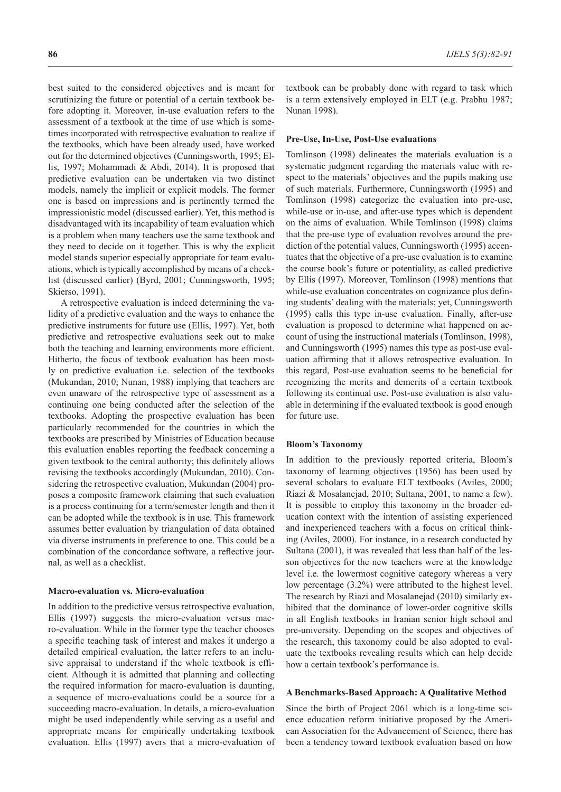best suited to the considered objectives and is meant for scrutinizing the future or potential of a certain textbook before adopting it. Moreover, in-use evaluation refers to the assessment of a textbook at the time of use which is sometimes incorporated with retrospective evaluation to realize if the textbooks, which have been already used, have worked out for the determined objectives (Cunningsworth, 1995; Ellis, 1997; Mohammadi & Abdi, 2014). It is proposed that predictive evaluation can be undertaken via two distinct models, namely the implicit or explicit models. The former one is based on impressions and is pertinently termed the impressionistic model (discussed earlier). Yet, this method is disadvantaged with its incapability of team evaluation which is a problem when many teachers use the same textbook and they need to decide on it together. This is why the explicit model stands superior especially appropriate for team evaluations, which is typically accomplished by means of a checklist (discussed earlier) (Byrd, 2001; Cunningsworth, 1995; Skierso, 1991).

A retrospective evaluation is indeed determining the validity of a predictive evaluation and the ways to enhance the predictive instruments for future use (Ellis, 1997). Yet, both predictive and retrospective evaluations seek out to make both the teaching and learning environments more efficient. Hitherto, the focus of textbook evaluation has been mostly on predictive evaluation i.e. selection of the textbooks (Mukundan, 2010; Nunan, 1988) implying that teachers are even unaware of the retrospective type of assessment as a continuing one being conducted after the selection of the textbooks. Adopting the prospective evaluation has been particularly recommended for the countries in which the textbooks are prescribed by Ministries of Education because this evaluation enables reporting the feedback concerning a given textbook to the central authority; this definitely allows revising the textbooks accordingly (Mukundan, 2010). Considering the retrospective evaluation, Mukundan (2004) proposes a composite framework claiming that such evaluation is a process continuing for a term/semester length and then it can be adopted while the textbook is in use. This framework assumes better evaluation by triangulation of data obtained via diverse instruments in preference to one. This could be a combination of the concordance software, a reflective journal, as well as a checklist.

#### **Macro-evaluation vs. Micro-evaluation**

In addition to the predictive versus retrospective evaluation, Ellis (1997) suggests the micro-evaluation versus macro-evaluation. While in the former type the teacher chooses a specific teaching task of interest and makes it undergo a detailed empirical evaluation, the latter refers to an inclusive appraisal to understand if the whole textbook is efficient. Although it is admitted that planning and collecting the required information for macro-evaluation is daunting, a sequence of micro-evaluations could be a source for a succeeding macro-evaluation. In details, a micro-evaluation might be used independently while serving as a useful and appropriate means for empirically undertaking textbook evaluation. Ellis (1997) avers that a micro-evaluation of textbook can be probably done with regard to task which is a term extensively employed in ELT (e.g. Prabhu 1987; Nunan 1998).

#### **Pre-Use, In-Use, Post-Use evaluations**

Tomlinson (1998) delineates the materials evaluation is a systematic judgment regarding the materials value with respect to the materials' objectives and the pupils making use of such materials. Furthermore, Cunningsworth (1995) and Tomlinson (1998) categorize the evaluation into pre-use, while-use or in-use, and after-use types which is dependent on the aims of evaluation. While Tomlinson (1998) claims that the pre-use type of evaluation revolves around the prediction of the potential values, Cunningsworth (1995) accentuates that the objective of a pre-use evaluation is to examine the course book's future or potentiality, as called predictive by Ellis (1997). Moreover, Tomlinson (1998) mentions that while-use evaluation concentrates on cognizance plus defining students' dealing with the materials; yet, Cunningsworth (1995) calls this type in-use evaluation. Finally, after-use evaluation is proposed to determine what happened on account of using the instructional materials (Tomlinson, 1998), and Cunningsworth (1995) names this type as post-use evaluation affirming that it allows retrospective evaluation. In this regard, Post-use evaluation seems to be beneficial for recognizing the merits and demerits of a certain textbook following its continual use. Post-use evaluation is also valuable in determining if the evaluated textbook is good enough for future use.

#### **Bloom's Taxonomy**

In addition to the previously reported criteria, Bloom's taxonomy of learning objectives (1956) has been used by several scholars to evaluate ELT textbooks (Aviles, 2000; Riazi & Mosalanejad, 2010; Sultana, 2001, to name a few). It is possible to employ this taxonomy in the broader education context with the intention of assisting experienced and inexperienced teachers with a focus on critical thinking (Aviles, 2000). For instance, in a research conducted by Sultana (2001), it was revealed that less than half of the lesson objectives for the new teachers were at the knowledge level i.e. the lowermost cognitive category whereas a very low percentage (3.2%) were attributed to the highest level. The research by Riazi and Mosalanejad (2010) similarly exhibited that the dominance of lower-order cognitive skills in all English textbooks in Iranian senior high school and pre-university. Depending on the scopes and objectives of the research, this taxonomy could be also adopted to evaluate the textbooks revealing results which can help decide how a certain textbook's performance is.

#### **A Benchmarks-Based Approach: A Qualitative Method**

Since the birth of Project 2061 which is a long-time science education reform initiative proposed by the American Association for the Advancement of Science, there has been a tendency toward textbook evaluation based on how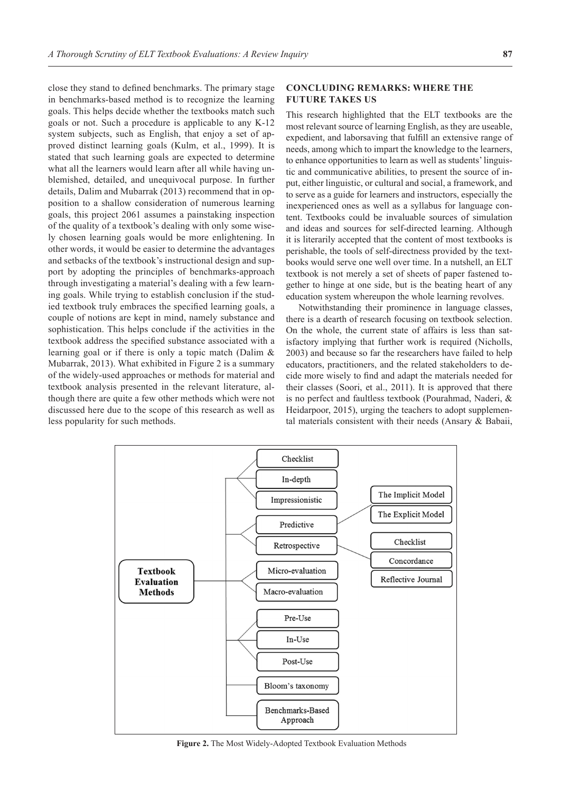close they stand to defined benchmarks. The primary stage in benchmarks-based method is to recognize the learning goals. This helps decide whether the textbooks match such goals or not. Such a procedure is applicable to any K-12 system subjects, such as English, that enjoy a set of approved distinct learning goals (Kulm, et al., 1999). It is stated that such learning goals are expected to determine what all the learners would learn after all while having unblemished, detailed, and unequivocal purpose. In further details, Dalim and Mubarrak (2013) recommend that in opposition to a shallow consideration of numerous learning goals, this project 2061 assumes a painstaking inspection of the quality of a textbook's dealing with only some wisely chosen learning goals would be more enlightening. In other words, it would be easier to determine the advantages and setbacks of the textbook's instructional design and support by adopting the principles of benchmarks-approach through investigating a material's dealing with a few learning goals. While trying to establish conclusion if the studied textbook truly embraces the specified learning goals, a couple of notions are kept in mind, namely substance and sophistication. This helps conclude if the activities in the textbook address the specified substance associated with a learning goal or if there is only a topic match (Dalim & Mubarrak, 2013). What exhibited in Figure 2 is a summary of the widely-used approaches or methods for material and textbook analysis presented in the relevant literature, although there are quite a few other methods which were not discussed here due to the scope of this research as well as less popularity for such methods.

### **CONCLUDING REMARKS: WHERE THE FUTURE TAKES US**

This research highlighted that the ELT textbooks are the most relevant source of learning English, as they are useable, expedient, and laborsaving that fulfill an extensive range of needs, among which to impart the knowledge to the learners, to enhance opportunities to learn as well as students' linguistic and communicative abilities, to present the source of input, either linguistic, or cultural and social, a framework, and to serve as a guide for learners and instructors, especially the inexperienced ones as well as a syllabus for language content. Textbooks could be invaluable sources of simulation and ideas and sources for self-directed learning. Although it is literarily accepted that the content of most textbooks is perishable, the tools of self-directness provided by the textbooks would serve one well over time. In a nutshell, an ELT textbook is not merely a set of sheets of paper fastened together to hinge at one side, but is the beating heart of any education system whereupon the whole learning revolves.

Notwithstanding their prominence in language classes, there is a dearth of research focusing on textbook selection. On the whole, the current state of affairs is less than satisfactory implying that further work is required (Nicholls, 2003) and because so far the researchers have failed to help educators, practitioners, and the related stakeholders to decide more wisely to find and adapt the materials needed for their classes (Soori, et al., 2011). It is approved that there is no perfect and faultless textbook (Pourahmad, Naderi, & Heidarpoor, 2015), urging the teachers to adopt supplemental materials consistent with their needs (Ansary & Babaii,



**Figure 2.** The Most Widely-Adopted Textbook Evaluation Methods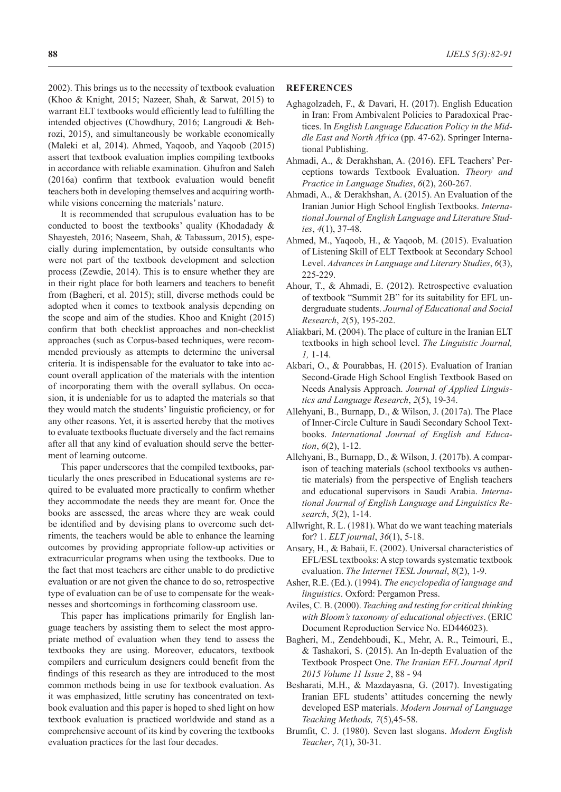2002). This brings us to the necessity of textbook evaluation (Khoo & Knight, 2015; Nazeer, Shah, & Sarwat, 2015) to warrant ELT textbooks would efficiently lead to fulfilling the intended objectives (Chowdhury, 2016; Langroudi & Behrozi, 2015), and simultaneously be workable economically (Maleki et al, 2014). Ahmed, Yaqoob, and Yaqoob (2015) assert that textbook evaluation implies compiling textbooks in accordance with reliable examination. Ghufron and Saleh (2016a) confirm that textbook evaluation would benefit teachers both in developing themselves and acquiring worthwhile visions concerning the materials' nature.

It is recommended that scrupulous evaluation has to be conducted to boost the textbooks' quality (Khodadady & Shayesteh, 2016; Naseem, Shah, & Tabassum, 2015), especially during implementation, by outside consultants who were not part of the textbook development and selection process (Zewdie, 2014). This is to ensure whether they are in their right place for both learners and teachers to benefit from (Bagheri, et al. 2015); still, diverse methods could be adopted when it comes to textbook analysis depending on the scope and aim of the studies. Khoo and Knight (2015) confirm that both checklist approaches and non-checklist approaches (such as Corpus-based techniques, were recommended previously as attempts to determine the universal criteria. It is indispensable for the evaluator to take into account overall application of the materials with the intention of incorporating them with the overall syllabus. On occasion, it is undeniable for us to adapted the materials so that they would match the students' linguistic proficiency, or for any other reasons. Yet, it is asserted hereby that the motives to evaluate textbooks fluctuate diversely and the fact remains after all that any kind of evaluation should serve the betterment of learning outcome.

This paper underscores that the compiled textbooks, particularly the ones prescribed in Educational systems are required to be evaluated more practically to confirm whether they accommodate the needs they are meant for. Once the books are assessed, the areas where they are weak could be identified and by devising plans to overcome such detriments, the teachers would be able to enhance the learning outcomes by providing appropriate follow-up activities or extracurricular programs when using the textbooks. Due to the fact that most teachers are either unable to do predictive evaluation or are not given the chance to do so, retrospective type of evaluation can be of use to compensate for the weaknesses and shortcomings in forthcoming classroom use.

This paper has implications primarily for English language teachers by assisting them to select the most appropriate method of evaluation when they tend to assess the textbooks they are using. Moreover, educators, textbook compilers and curriculum designers could benefit from the findings of this research as they are introduced to the most common methods being in use for textbook evaluation. As it was emphasized, little scrutiny has concentrated on textbook evaluation and this paper is hoped to shed light on how textbook evaluation is practiced worldwide and stand as a comprehensive account of its kind by covering the textbooks evaluation practices for the last four decades.

#### **REFERENCES**

- Aghagolzadeh, F., & Davari, H. (2017). English Education in Iran: From Ambivalent Policies to Paradoxical Practices. In *English Language Education Policy in the Middle East and North Africa* (pp. 47-62). Springer International Publishing.
- Ahmadi, A., & Derakhshan, A. (2016). EFL Teachers' Perceptions towards Textbook Evaluation. *Theory and Practice in Language Studies*, *6*(2), 260-267.
- Ahmadi, A., & Derakhshan, A. (2015). An Evaluation of the Iranian Junior High School English Textbooks. *International Journal of English Language and Literature Studies*, *4*(1), 37-48.
- Ahmed, M., Yaqoob, H., & Yaqoob, M. (2015). Evaluation of Listening Skill of ELT Textbook at Secondary School Level. *Advances in Language and Literary Studies*, *6*(3), 225-229.
- Ahour, T., & Ahmadi, E. (2012). Retrospective evaluation of textbook "Summit 2B" for its suitability for EFL undergraduate students. *Journal of Educational and Social Research*, *2*(5), 195-202.
- Aliakbari, M. (2004). The place of culture in the Iranian ELT textbooks in high school level. *The Linguistic Journal, 1,* 1-14.
- Akbari, O., & Pourabbas, H. (2015). Evaluation of Iranian Second-Grade High School English Textbook Based on Needs Analysis Approach. *Journal of Applied Linguistics and Language Research*, *2*(5), 19-34.
- Allehyani, B., Burnapp, D., & Wilson, J. (2017a). The Place of Inner-Circle Culture in Saudi Secondary School Textbooks. *International Journal of English and Education*, *6*(2), 1-12.
- Allehyani, B., Burnapp, D., & Wilson, J. (2017b). A comparison of teaching materials (school textbooks vs authentic materials) from the perspective of English teachers and educational supervisors in Saudi Arabia. *International Journal of English Language and Linguistics Research*, *5*(2), 1-14.
- Allwright, R. L. (1981). What do we want teaching materials for? 1. *ELT journal*, *36*(1), 5-18.
- Ansary, H., & Babaii, E. (2002). Universal characteristics of EFL/ESL textbooks: A step towards systematic textbook evaluation. *The Internet TESL Journal*, *8*(2), 1-9.
- Asher, R.E. (Ed.). (1994). *The encyclopedia of language and linguistics*. Oxford: Pergamon Press.
- Aviles, C. B. (2000). *Teaching and testing for critical thinking with Bloom's taxonomy of educational objectives*. (ERIC Document Reproduction Service No. ED446023).
- Bagheri, M., Zendehboudi, K., Mehr, A. R., Teimouri, E., & Tashakori, S. (2015). An In-depth Evaluation of the Textbook Prospect One. *The Iranian EFL Journal April 2015 Volume 11 Issue 2*, 88 - 94
- Besharati, M.H., & Mazdayasna, G. (2017). Investigating Iranian EFL students' attitudes concerning the newly developed ESP materials. *Modern Journal of Language Teaching Methods, 7*(5),45-58.
- Brumfit, C. J. (1980). Seven last slogans. *Modern English Teacher*, *7*(1), 30-31.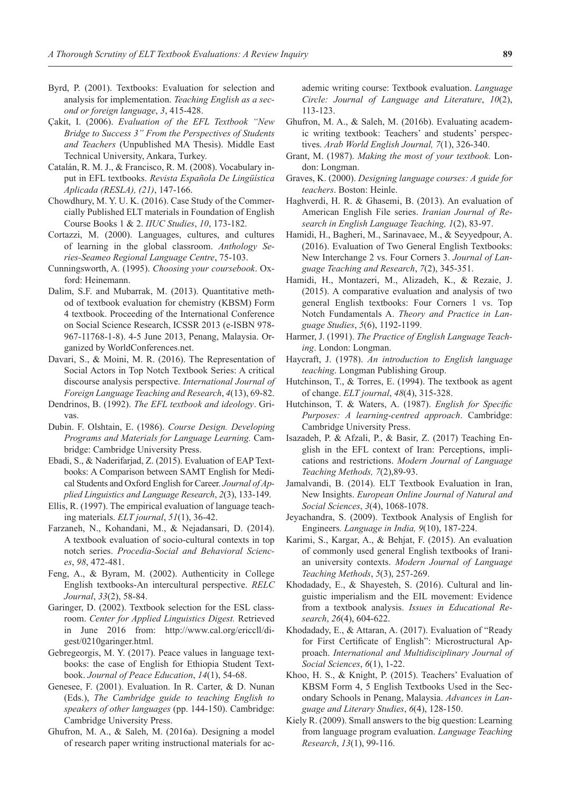- Byrd, P. (2001). Textbooks: Evaluation for selection and analysis for implementation. *Teaching English as a second or foreign language*, *3*, 415-428.
- Çakit, I. (2006). *Evaluation of the EFL Textbook "New Bridge to Success 3" From the Perspectives of Students and Teachers* (Unpublished MA Thesis). Middle East Technical University, Ankara, Turkey.
- Catalán, R. M. J., & Francisco, R. M. (2008). Vocabulary input in EFL textbooks. *Revista Española De Lingüística Aplicada (RESLA), (21)*, 147-166.
- Chowdhury, M. Y. U. K. (2016). Case Study of the Commercially Published ELT materials in Foundation of English Course Books 1 & 2. *IIUC Studies*, *10*, 173-182.
- Cortazzi, M. (2000). Languages, cultures, and cultures of learning in the global classroom. *Anthology Series-Seameo Regional Language Centre*, 75-103.
- Cunningsworth, A. (1995). *Choosing your coursebook*. Oxford: Heinemann.
- Dalim, S.F. and Mubarrak, M. (2013). Quantitative method of textbook evaluation for chemistry (KBSM) Form 4 textbook. Proceeding of the International Conference on Social Science Research, ICSSR 2013 (e-ISBN 978- 967-11768-1-8). 4-5 June 2013, Penang, Malaysia. Organized by WorldConferences.net.
- Davari, S., & Moini, M. R. (2016). The Representation of Social Actors in Top Notch Textbook Series: A critical discourse analysis perspective. *International Journal of Foreign Language Teaching and Research*, *4*(13), 69-82.
- Dendrinos, B. (1992). *The EFL textbook and ideology*. Grivas.
- Dubin. F. Olshtain, E. (1986). *Course Design. Developing Programs and Materials for Language Learning.* Cambridge: Cambridge University Press.
- Ebadi, S., & Naderifarjad, Z. (2015). Evaluation of EAP Textbooks: A Comparison between SAMT English for Medical Students and Oxford English for Career. *Journal of Applied Linguistics and Language Research*, *2*(3), 133-149.
- Ellis, R. (1997). The empirical evaluation of language teaching materials. *ELT journal*, *51*(1), 36-42.
- Farzaneh, N., Kohandani, M., & Nejadansari, D. (2014). A textbook evaluation of socio-cultural contexts in top notch series. *Procedia-Social and Behavioral Sciences*, *98*, 472-481.
- Feng, A., & Byram, M. (2002). Authenticity in College English textbooks-An intercultural perspective. *RELC Journal*, *33*(2), 58-84.
- Garinger, D. (2002). Textbook selection for the ESL classroom. *Center for Applied Linguistics Digest.* Retrieved in June 2016 from: http://www.cal.org/ericcll/digest/0210garinger.html.
- Gebregeorgis, M. Y. (2017). Peace values in language textbooks: the case of English for Ethiopia Student Textbook. *Journal of Peace Education*, *14*(1), 54-68.
- Genesee, F. (2001). Evaluation. In R. Carter, & D. Nunan (Eds.), *The Cambridge guide to teaching English to speakers of other languages* (pp. 144-150). Cambridge: Cambridge University Press.
- Ghufron, M. A., & Saleh, M. (2016a). Designing a model of research paper writing instructional materials for ac-

ademic writing course: Textbook evaluation. *Language Circle: Journal of Language and Literature*, *10*(2), 113‑123.

- Ghufron, M. A., & Saleh, M. (2016b). Evaluating academic writing textbook: Teachers' and students' perspectives. *Arab World English Journal, 7*(1), 326-340.
- Grant, M. (1987). *Making the most of your textbook.* London: Longman.
- Graves, K. (2000). *Designing language courses: A guide for teachers*. Boston: Heinle.
- Haghverdi, H. R. & Ghasemi, B. (2013). An evaluation of American English File series. *Iranian Journal of Research in English Language Teaching, 1*(2), 83-97.
- Hamidi, H., Bagheri, M., Sarinavaee, M., & Seyyedpour, A. (2016). Evaluation of Two General English Textbooks: New Interchange 2 vs. Four Corners 3. *Journal of Language Teaching and Research*, *7*(2), 345-351.
- Hamidi, H., Montazeri, M., Alizadeh, K., & Rezaie, J. (2015). A comparative evaluation and analysis of two general English textbooks: Four Corners 1 vs. Top Notch Fundamentals A. *Theory and Practice in Language Studies*, *5*(6), 1192-1199.
- Harmer, J. (1991). *The Practice of English Language Teaching*. London: Longman.
- Haycraft, J. (1978). *An introduction to English language teaching*. Longman Publishing Group.
- Hutchinson, T., & Torres, E. (1994). The textbook as agent of change. *ELT journal*, *48*(4), 315-328.
- Hutchinson, T. & Waters, A. (1987). *English for Specific Purposes: A learning-centred approach*. Cambridge: Cambridge University Press.
- Isazadeh, P. & Afzali, P., & Basir, Z. (2017) Teaching English in the EFL context of Iran: Perceptions, implications and restrictions. *Modern Journal of Language Teaching Methods, 7*(2),89-93.
- Jamalvandi, B. (2014). ELT Textbook Evaluation in Iran, New Insights. *European Online Journal of Natural and Social Sciences*, *3*(4), 1068-1078.
- Jeyachandra, S. (2009). Textbook Analysis of English for Engineers*. Language in India, 9*(10), 187-224.
- Karimi, S., Kargar, A., & Behjat, F. (2015). An evaluation of commonly used general English textbooks of Iranian university contexts. *Modern Journal of Language Teaching Methods*, *5*(3), 257-269.
- Khodadady, E., & Shayesteh, S. (2016). Cultural and linguistic imperialism and the EIL movement: Evidence from a textbook analysis. *Issues in Educational Research*, *26*(4), 604-622.
- Khodadady, E., & Attaran, A. (2017). Evaluation of "Ready for First Certificate of English": Microstructural Approach. *International and Multidisciplinary Journal of Social Sciences*, *6*(1), 1-22.
- Khoo, H. S., & Knight, P. (2015). Teachers' Evaluation of KBSM Form 4, 5 English Textbooks Used in the Secondary Schools in Penang, Malaysia. *Advances in Language and Literary Studies*, *6*(4), 128-150.
- Kiely R. (2009). Small answers to the big question: Learning from language program evaluation. *Language Teaching Research*, *13*(1), 99-116.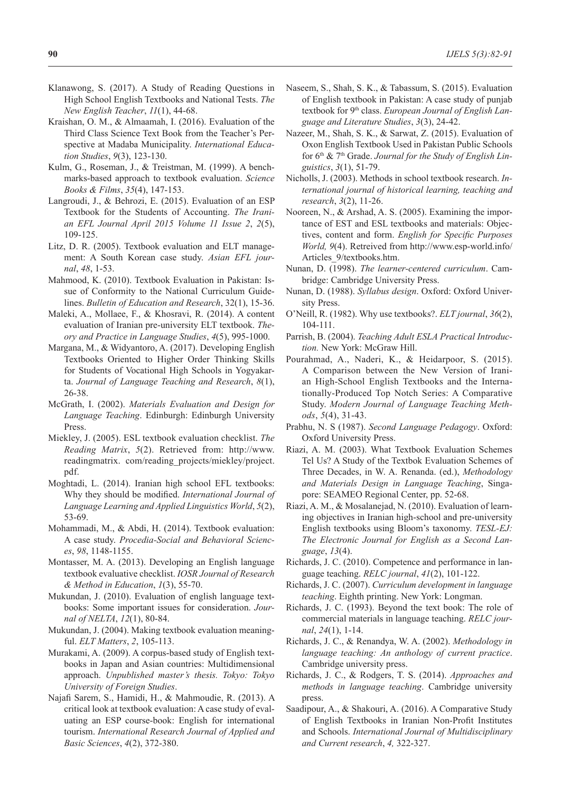- Klanawong, S. (2017). A Study of Reading Questions in High School English Textbooks and National Tests. *The New English Teacher*, *11*(1), 44-68.
- Kraishan, O. M., & Almaamah, I. (2016). Evaluation of the Third Class Science Text Book from the Teacher's Perspective at Madaba Municipality. *International Education Studies*, *9*(3), 123-130.
- Kulm, G., Roseman, J., & Treistman, M. (1999). A benchmarks-based approach to textbook evaluation. *Science Books & Films*, *35*(4), 147-153.
- Langroudi, J., & Behrozi, E. (2015). Evaluation of an ESP Textbook for the Students of Accounting. *The Iranian EFL Journal April 2015 Volume 11 Issue 2*, *2*(5), 109‑125.
- Litz, D. R. (2005). Textbook evaluation and ELT management: A South Korean case study. *Asian EFL journal*, *48*, 1-53.
- Mahmood, K. (2010). Textbook Evaluation in Pakistan: Issue of Conformity to the National Curriculum Guidelines. *Bulletin of Education and Research*, 32(1), 15-36.
- Maleki, A., Mollaee, F., & Khosravi, R. (2014). A content evaluation of Iranian pre-university ELT textbook. *Theory and Practice in Language Studies*, *4*(5), 995-1000.
- Margana, M., & Widyantoro, A. (2017). Developing English Textbooks Oriented to Higher Order Thinking Skills for Students of Vocational High Schools in Yogyakarta. *Journal of Language Teaching and Research*, *8*(1), 26-38.
- McGrath, I. (2002). *Materials Evaluation and Design for Language Teaching*. Edinburgh: Edinburgh University Press.
- Miekley, J. (2005). ESL textbook evaluation checklist. *The Reading Matrix*, *5*(2). Retrieved from: http://www. readingmatrix. com/reading\_projects/miekley/project. pdf.
- Moghtadi, L. (2014). Iranian high school EFL textbooks: Why they should be modified. *International Journal of Language Learning and Applied Linguistics World*, *5*(2), 53-69.
- Mohammadi, M., & Abdi, H. (2014). Textbook evaluation: A case study. *Procedia-Social and Behavioral Sciences*, *98*, 1148-1155.
- Montasser, M. A. (2013). Developing an English language textbook evaluative checklist. *IOSR Journal of Research & Method in Education*, *1*(3), 55-70.
- Mukundan, J. (2010). Evaluation of english language textbooks: Some important issues for consideration. *Journal of NELTA*, *12*(1), 80-84.
- Mukundan, J. (2004). Making textbook evaluation meaningful. *ELT Matters*, *2*, 105-113.
- Murakami, A. (2009). A corpus-based study of English textbooks in Japan and Asian countries: Multidimensional approach. *Unpublished master's thesis. Tokyo: Tokyo University of Foreign Studies*.
- Najafi Sarem, S., Hamidi, H., & Mahmoudie, R. (2013). A critical look at textbook evaluation: A case study of evaluating an ESP course-book: English for international tourism. *International Research Journal of Applied and Basic Sciences*, *4*(2), 372-380.
- Naseem, S., Shah, S. K., & Tabassum, S. (2015). Evaluation of English textbook in Pakistan: A case study of punjab textbook for 9th class. *European Journal of English Language and Literature Studies*, *3*(3), 24-42.
- Nazeer, M., Shah, S. K., & Sarwat, Z. (2015). Evaluation of Oxon English Textbook Used in Pakistan Public Schools for 6th & 7th Grade. *Journal for the Study of English Linguistics*, *3*(1), 51-79.
- Nicholls, J. (2003). Methods in school textbook research. *International journal of historical learning, teaching and research*, *3*(2), 11-26.
- Nooreen, N., & Arshad, A. S. (2005). Examining the importance of EST and ESL textbooks and materials: Objectives, content and form. *English for Specific Purposes World, 9*(4). Retreived from http://www.esp-world.info/ Articles\_9/textbooks.htm.
- Nunan, D. (1998). *The learner-centered curriculum*. Cambridge: Cambridge University Press.
- Nunan, D. (1988). *Syllabus design*. Oxford: Oxford University Press.
- O'Neill, R. (1982). Why use textbooks?. *ELT journal*, *36*(2), 104-111.
- Parrish, B. (2004). *Teaching Adult ESLA Practical Introduction.* New York: McGraw Hill.
- Pourahmad, A., Naderi, K., & Heidarpoor, S. (2015). A Comparison between the New Version of Iranian High-School English Textbooks and the Internationally-Produced Top Notch Series: A Comparative Study. *Modern Journal of Language Teaching Methods*, *5*(4), 31-43.
- Prabhu, N. S (1987). *Second Language Pedagogy*. Oxford: Oxford University Press.
- Riazi, A. M. (2003). What Textbook Evaluation Schemes Tel Us? A Study of the Textbok Evaluation Schemes of Three Decades, in W. A. Renanda. (ed.), *Methodology and Materials Design in Language Teaching*, Singapore: SEAMEO Regional Center, pp. 52-68.
- Riazi, A. M., & Mosalanejad, N. (2010). Evaluation of learning objectives in Iranian high-school and pre-university English textbooks using Bloom's taxonomy. *TESL-EJ: The Electronic Journal for English as a Second Language*, *13*(4).
- Richards, J. C. (2010). Competence and performance in language teaching. *RELC journal*, *41*(2), 101-122.
- Richards, J. C. (2007). *Curriculum development in language teaching*. Eighth printing. New York: Longman.
- Richards, J. C. (1993). Beyond the text book: The role of commercial materials in language teaching. *RELC journal*, *24*(1), 1-14.
- Richards, J. C., & Renandya, W. A. (2002). *Methodology in language teaching: An anthology of current practice*. Cambridge university press.
- Richards, J. C., & Rodgers, T. S. (2014). *Approaches and methods in language teaching*. Cambridge university press.
- Saadipour, A., & Shakouri, A. (2016). A Comparative Study of English Textbooks in Iranian Non-Profit Institutes and Schools. *International Journal of Multidisciplinary and Current research*, *4,* 322-327.